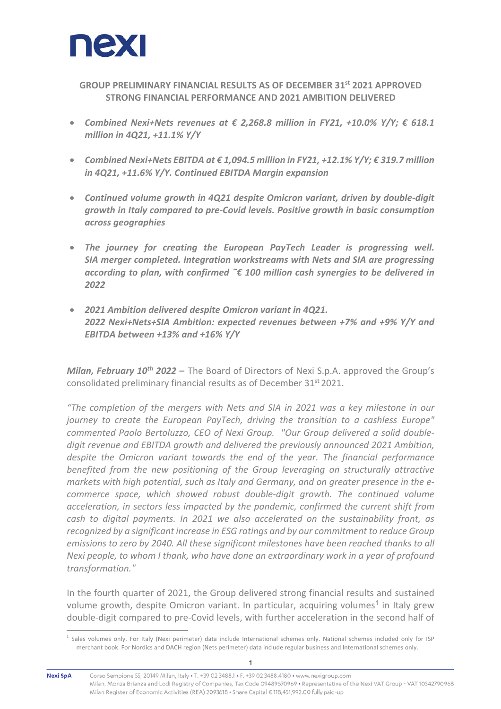

**GROUP PRELIMINARY FINANCIAL RESULTS AS OF DECEMBER 31st 2021 APPROVED STRONG FINANCIAL PERFORMANCE AND 2021 AMBITION DELIVERED** 

- *Combined Nexi+Nets revenues at € 2,268.8 million in FY21, +10.0% Y/Y; € 618.1 million in 4Q21, +11.1% Y/Y*
- *Combined Nexi+Nets EBITDA at € 1,094.5 million in FY21, +12.1% Y/Y; € 319.7 million in 4Q21, +11.6% Y/Y. Continued EBITDA Margin expansion*
- *Continued volume growth in 4Q21 despite Omicron variant, driven by double‐digit growth in Italy compared to pre‐Covid levels. Positive growth in basic consumption across geographies*
- *The journey for creating the European PayTech Leader is progressing well. SIA merger completed. Integration workstreams with Nets and SIA are progressing according to plan, with confirmed ˜€ 100 million cash synergies to be delivered in 2022*
- *2021 Ambition delivered despite Omicron variant in 4Q21. 2022 Nexi+Nets+SIA Ambition: expected revenues between +7% and +9% Y/Y and EBITDA between +13% and +16% Y/Y*

*Milan, February 10<sup>th</sup> 2022 – The Board of Directors of Nexi S.p.A. approved the Group's* consolidated preliminary financial results as of December 31<sup>st</sup> 2021.

*"The completion of the mergers with Nets and SIA in 2021 was a key milestone in our journey to create the European PayTech, driving the transition to a cashless Europe" commented Paolo Bertoluzzo, CEO of Nexi Group. "Our Group delivered a solid double‐ digit revenue and EBITDA growth and delivered the previously announced 2021 Ambition, despite the Omicron variant towards the end of the year. The financial performance benefited from the new positioning of the Group leveraging on structurally attractive markets with high potential, such as Italy and Germany, and on greater presence in the e‐ commerce space, which showed robust double‐digit growth. The continued volume acceleration, in sectors less impacted by the pandemic, confirmed the current shift from cash to digital payments. In 2021 we also accelerated on the sustainability front, as recognized by a significant increase in ESG ratings and by our commitment to reduce Group emissions to zero by 2040. All these significant milestones have been reached thanks to all Nexi people, to whom I thank, who have done an extraordinary work in a year of profound transformation."* 

In the fourth quarter of 2021, the Group delivered strong financial results and sustained volume growth, despite Omicron variant. In particular, acquiring volumes<sup>1</sup> in Italy grew double‐digit compared to pre‐Covid levels, with further acceleration in the second half of

l

<sup>&</sup>lt;sup>1</sup> Sales volumes only. For Italy (Nexi perimeter) data include International schemes only. National schemes included only for ISP merchant book. For Nordics and DACH region (Nets perimeter) data include regular business and International schemes only.

Nexi SpA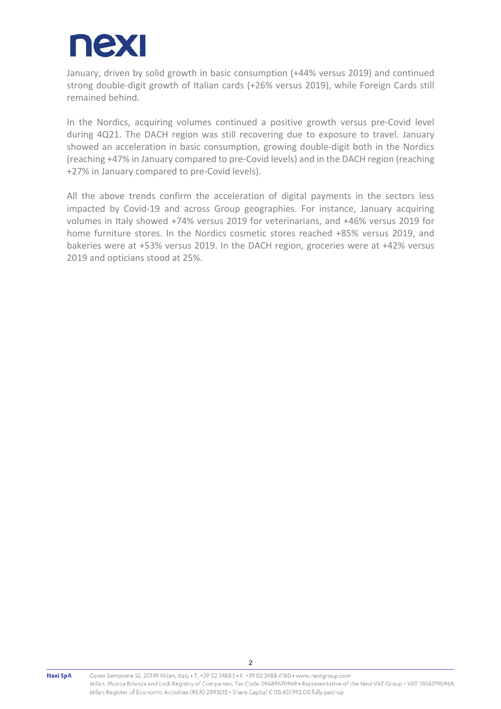

January, driven by solid growth in basic consumption (+44% versus 2019) and continued strong double-digit growth of Italian cards (+26% versus 2019), while Foreign Cards still remained behind.

In the Nordics, acquiring volumes continued a positive growth versus pre-Covid level during 4Q21. The DACH region was still recovering due to exposure to travel. January showed an acceleration in basic consumption, growing double‐digit both in the Nordics (reaching +47% in January compared to pre‐Covid levels) and in the DACH region (reaching +27% in January compared to pre‐Covid levels).

All the above trends confirm the acceleration of digital payments in the sectors less impacted by Covid-19 and across Group geographies. For instance, January acquiring volumes in Italy showed +74% versus 2019 for veterinarians, and +46% versus 2019 for home furniture stores. In the Nordics cosmetic stores reached +85% versus 2019, and bakeries were at +53% versus 2019. In the DACH region, groceries were at +42% versus 2019 and opticians stood at 25%.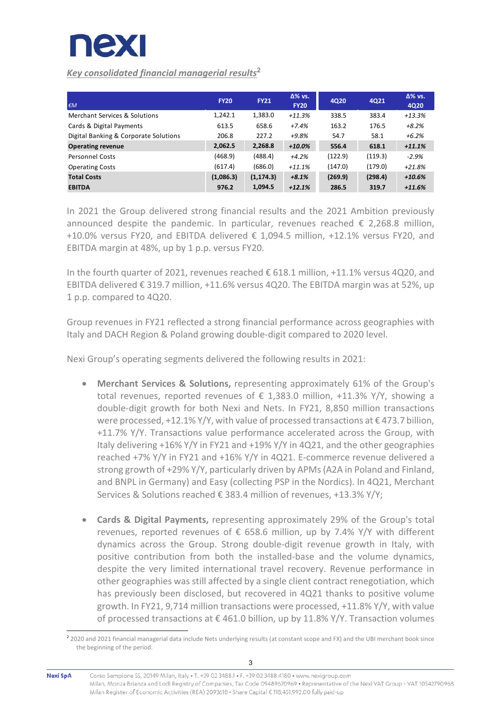

l

# *Key consolidated financial managerial results***<sup>2</sup>**

| $\epsilon M$                          | <b>FY20</b> | <b>FY21</b> | $\Delta\%$ vs.<br><b>FY20</b> | <b>4Q20</b> | 4Q21    | $\Delta\%$ vs.<br>4Q20 |
|---------------------------------------|-------------|-------------|-------------------------------|-------------|---------|------------------------|
| Merchant Services & Solutions         | 1,242.1     | 1,383.0     | $+11.3%$                      | 338.5       | 383.4   | $+13.3%$               |
| Cards & Digital Payments              | 613.5       | 658.6       | $+7.4%$                       | 163.2       | 176.5   | $+8.2%$                |
| Digital Banking & Corporate Solutions | 206.8       | 227.2       | $+9.8%$                       | 54.7        | 58.1    | $+6.2%$                |
| <b>Operating revenue</b>              | 2,062.5     | 2,268.8     | $+10.0%$                      | 556.4       | 618.1   | $+11.1%$               |
| <b>Personnel Costs</b>                | (468.9)     | (488.4)     | $+4.2%$                       | (122.9)     | (119.3) | $-2.9%$                |
| <b>Operating Costs</b>                | (617.4)     | (686.0)     | $+11.1%$                      | (147.0)     | (179.0) | $+21.8%$               |
| <b>Total Costs</b>                    | (1,086.3)   | (1, 174.3)  | $+8.1%$                       | (269.9)     | (298.4) | $+10.6%$               |
| <b>EBITDA</b>                         | 976.2       | 1,094.5     | $+12.1%$                      | 286.5       | 319.7   | $+11.6%$               |

In 2021 the Group delivered strong financial results and the 2021 Ambition previously announced despite the pandemic. In particular, revenues reached  $\epsilon$  2,268.8 million,  $+10.0\%$  versus FY20, and EBITDA delivered  $\epsilon$  1.094.5 million,  $+12.1\%$  versus FY20, and EBITDA margin at 48%, up by 1 p.p. versus FY20.

In the fourth quarter of 2021, revenues reached € 618.1 million, +11.1% versus 4Q20, and EBITDA delivered  $\epsilon$  319.7 million, +11.6% versus 4Q20. The EBITDA margin was at 52%, up 1 p.p. compared to 4Q20.

Group revenues in FY21 reflected a strong financial performance across geographies with Italy and DACH Region & Poland growing double‐digit compared to 2020 level.

Nexi Group's operating segments delivered the following results in 2021:

- **Merchant Services & Solutions,** representing approximately 61% of the Group's total revenues, reported revenues of  $\epsilon$  1,383.0 million, +11.3% Y/Y, showing a double‐digit growth for both Nexi and Nets. In FY21, 8,850 million transactions were processed, +12.1% Y/Y, with value of processed transactions at  $\epsilon$  473.7 billion, +11.7% Y/Y. Transactions value performance accelerated across the Group, with Italy delivering +16% Y/Y in FY21 and +19% Y/Y in 4Q21, and the other geographies reached +7% Y/Y in FY21 and +16% Y/Y in 4Q21. E‐commerce revenue delivered a strong growth of +29% Y/Y, particularly driven by APMs (A2A in Poland and Finland, and BNPL in Germany) and Easy (collecting PSP in the Nordics). In 4Q21, Merchant Services & Solutions reached € 383.4 million of revenues, +13.3% Y/Y;
- **Cards & Digital Payments,** representing approximately 29% of the Group's total revenues, reported revenues of  $\epsilon$  658.6 million, up by 7.4% Y/Y with different dynamics across the Group. Strong double‐digit revenue growth in Italy, with positive contribution from both the installed‐base and the volume dynamics, despite the very limited international travel recovery. Revenue performance in other geographies was still affected by a single client contract renegotiation, which has previously been disclosed, but recovered in 4Q21 thanks to positive volume growth. In FY21, 9,714 million transactions were processed, +11.8% Y/Y, with value of processed transactions at  $\epsilon$  461.0 billion, up by 11.8% Y/Y. Transaction volumes

<sup>&</sup>lt;sup>2</sup> 2020 and 2021 financial managerial data include Nets underlying results (at constant scope and FX) and the UBI merchant book since the beginning of the period.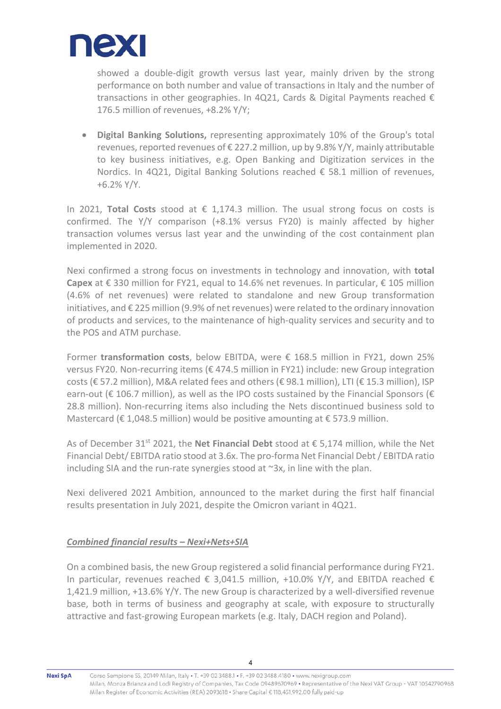

showed a double-digit growth versus last year, mainly driven by the strong performance on both number and value of transactions in Italy and the number of transactions in other geographies. In 4Q21, Cards & Digital Payments reached  $\epsilon$ 176.5 million of revenues, +8.2% Y/Y;

 **Digital Banking Solutions,** representing approximately 10% of the Group's total revenues, reported revenues of  $\epsilon$  227.2 million, up by 9.8% Y/Y, mainly attributable to key business initiatives, e.g. Open Banking and Digitization services in the Nordics. In 4Q21, Digital Banking Solutions reached  $\epsilon$  58.1 million of revenues, +6.2% Y/Y.

In 2021, **Total Costs** stood at € 1,174.3 million. The usual strong focus on costs is confirmed. The Y/Y comparison (+8.1% versus FY20) is mainly affected by higher transaction volumes versus last year and the unwinding of the cost containment plan implemented in 2020.

Nexi confirmed a strong focus on investments in technology and innovation, with **total Capex** at € 330 million for FY21, equal to 14.6% net revenues. In particular, € 105 million (4.6% of net revenues) were related to standalone and new Group transformation initiatives, and € 225 million (9.9% of net revenues) were related to the ordinary innovation of products and services, to the maintenance of high‐quality services and security and to the POS and ATM purchase.

Former **transformation costs**, below EBITDA, were € 168.5 million in FY21, down 25% versus FY20. Non‐recurring items (€ 474.5 million in FY21) include: new Group integration costs (€ 57.2 million), M&A related fees and others (€ 98.1 million), LTI (€ 15.3 million), ISP earn-out ( $\epsilon$  106.7 million), as well as the IPO costs sustained by the Financial Sponsors ( $\epsilon$ 28.8 million). Non‐recurring items also including the Nets discontinued business sold to Mastercard ( $\epsilon$  1,048.5 million) would be positive amounting at  $\epsilon$  573.9 million.

As of December 31st 2021, the **Net Financial Debt** stood at € 5,174 million, while the Net Financial Debt/ EBITDA ratio stood at 3.6x. The pro‐forma Net Financial Debt / EBITDA ratio including SIA and the run-rate synergies stood at  $\sim 3x$ , in line with the plan.

Nexi delivered 2021 Ambition, announced to the market during the first half financial results presentation in July 2021, despite the Omicron variant in 4Q21.

## *Combined financial results – Nexi+Nets+SIA*

On a combined basis, the new Group registered a solid financial performance during FY21. In particular, revenues reached  $\epsilon$  3,041.5 million, +10.0% Y/Y, and EBITDA reached  $\epsilon$ 1,421.9 million, +13.6% Y/Y. The new Group is characterized by a well‐diversified revenue base, both in terms of business and geography at scale, with exposure to structurally attractive and fast‐growing European markets (e.g. Italy, DACH region and Poland).

Nexi SpA

Corso Sempione 55, 20149 Milan, Italy • T. +39 02 3488.1 • F. +39 02 3488.4180 • www.nexigroup.com Milan, Monza Brianza and Lodi Registry of Companies, Tax Code 09489670969 · Representative of the Nexi VAT Group - VAT 10542790968 Milan Register of Economic Activities (REA) 2093618 • Share Capital € 118,451,992.00 fully paid-up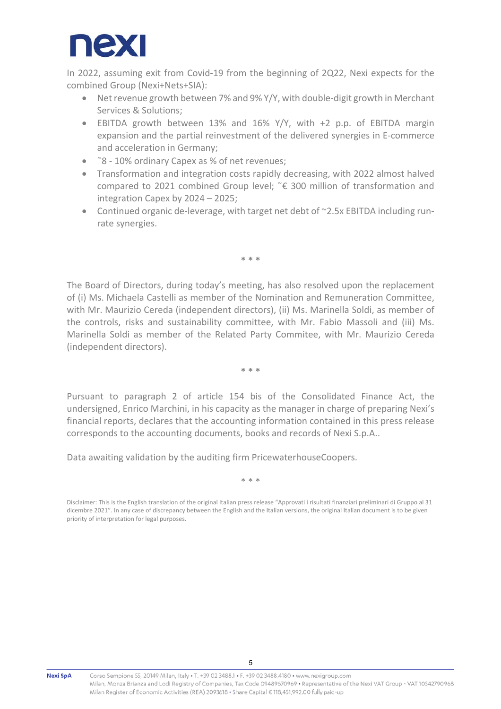

In 2022, assuming exit from Covid-19 from the beginning of 2Q22, Nexi expects for the combined Group (Nexi+Nets+SIA):

- Net revenue growth between 7% and 9% Y/Y, with double-digit growth in Merchant Services & Solutions;
- EBITDA growth between 13% and 16% Y/Y, with +2 p.p. of EBITDA margin expansion and the partial reinvestment of the delivered synergies in E‐commerce and acceleration in Germany;
- ˜8 ‐ 10% ordinary Capex as % of net revenues;
- Transformation and integration costs rapidly decreasing, with 2022 almost halved compared to 2021 combined Group level; ˜€ 300 million of transformation and integration Capex by 2024 – 2025;
- Continued organic de-leverage, with target net debt of ~2.5x EBITDA including runrate synergies.

**\* \* \*** 

The Board of Directors, during today's meeting, has also resolved upon the replacement of (i) Ms. Michaela Castelli as member of the Nomination and Remuneration Committee, with Mr. Maurizio Cereda (independent directors), (ii) Ms. Marinella Soldi, as member of the controls, risks and sustainability committee, with Mr. Fabio Massoli and (iii) Ms. Marinella Soldi as member of the Related Party Commitee, with Mr. Maurizio Cereda (independent directors).

**\* \* \*** 

Pursuant to paragraph 2 of article 154 bis of the Consolidated Finance Act, the undersigned, Enrico Marchini, in his capacity as the manager in charge of preparing Nexi's financial reports, declares that the accounting information contained in this press release corresponds to the accounting documents, books and records of Nexi S.p.A..

Data awaiting validation by the auditing firm PricewaterhouseCoopers.

\* \* \*

Disclaimer: This is the English translation of the original Italian press release "Approvati i risultati finanziari preliminari di Gruppo al 31 dicembre 2021". In any case of discrepancy between the English and the Italian versions, the original Italian document is to be given priority of interpretation for legal purposes.